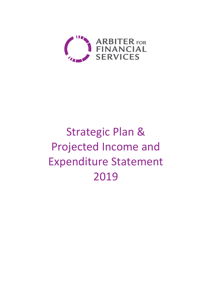

# Strategic Plan & Projected Income and Expenditure Statement 2019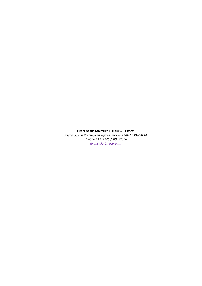#### OFFICE OF THE ARBITER FOR FINANCIAL SERVICES

FIRST FLOOR, ST CALCEDONIUS SQUARE, FLORIANA FRN 1530 MALTA V: +356 21249245 / 80072366 financialarbiter.org.mt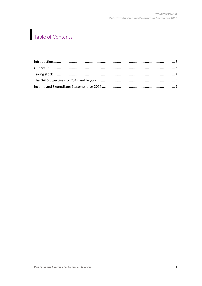## Table of Contents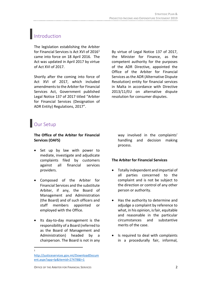## <span id="page-3-0"></span>Introduction

The legislation establishing the Arbiter for Financial Services is Act XVI of 2016<sup>1</sup> came into force on 18 April 2016. The Act was updated in April 2017 by virtue of Act XVI of 2017.

Shortly after the coming into force of Act XVI of 2017, which included amendments to the Arbiter for Financial Services Act, Government published Legal Notice 137 of 2017 titled "Arbiter for Financial Services (Designation of ADR Entity) Regulations, 2017".

By virtue of Legal Notice 137 of 2017, the Minister for Finance, as the competent authority for the purposes of the ADR Directive, appointed the Office of the Arbiter for Financial Services as the ADR (Alternative Dispute Resolution) entity for financial services in Malta in accordance with Directive 2013/11/EU on alternative dispute resolution for consumer disputes.

## <span id="page-3-1"></span>**Our Setup**

#### **The Office of the Arbiter for Financial Services (OAFS)**

- Set up by law with power to mediate, investigate and adjudicate complaints filed by customers against all financial services providers.
- Composed of the Arbiter for Financial Services and the substitute Arbiter, if any, the Board of Management and Administration (the Board) and of such officers and staff members appointed or employed with the Office.
- Its day-to-day management is the responsibility of a Board (referred to as the Board of Management and Administration) headed by a chairperson. The Board is not in any

way involved in the complaints' handling and decision making process.

#### **The Arbiter for Financial Services**

- Totally independent and impartial of all parties concerned to the complaint and is not be subject to the direction or control of any other person or authority.
- Has the authority to determine and adjudge a complaint by reference to what, in his opinion, is fair, equitable and reasonable in the particular circumstances and substantive merits of the case.
- Is required to deal with complaints in a procedurally fair, informal,

 $\overline{\phantom{a}}$ 1

[http://justiceservices.gov.mt/DownloadDocum](http://justiceservices.gov.mt/DownloadDocument.aspx?app=lp&itemid=27478&l=1) [ent.aspx?app=lp&itemid=27478&l=1](http://justiceservices.gov.mt/DownloadDocument.aspx?app=lp&itemid=27478&l=1)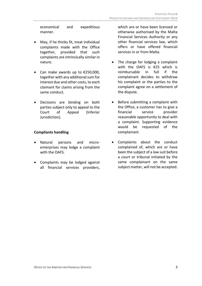economical and expeditious manner.

- May, if he thinks fit, treat individual complaints made with the Office together, provided that such complaints are intrinsically similar in nature.
- Can make awards up to  $£250,000$ , together with any additional sum for interest due and other costs, to each claimant for claims arising from the same conduct.
- Decisions are binding on both parties subject only to appeal to the Court of Appeal (Inferior Jurisdiction).

#### **Compliants handling**

- Natural persons and microenterprises may lodge a complaint with the OAFS.
- Complaints may be lodged against all financial services providers,

which are or have been licensed or otherwise authorised by the Malta Financial Services Authority or any other financial services law, which offers or have offered financial services in or from Malta.

- The charge for lodging a complaint with the OAFS is €25 which is reimbursable in full if the complainant decides to withdraw his complaint or the parties to the complaint agree on a settlement of the dispute.
- Before submitting a complaint with the Office, a customer has to give a financial service provider reasonable opportunity to deal with a complaint. Supporting evidence would be requested of the complainant.
- Complaints about the conduct complained of, which are or have been the subject of a law suit before a court or tribunal initiated by the same complainant on the same subject matter, will not be accepted.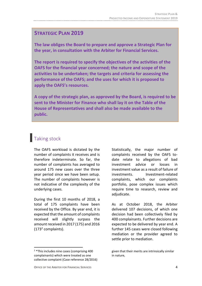#### **STRATEGIC PLAN 2019**

**The law obliges the Board to prepare and approve a Strategic Plan for the year, in consultation with the Arbiter for Financial Services.** 

**The report is required to specify the objectives of the activities of the OAFS for the financial year concerned; the nature and scope of the activities to be undertaken; the targets and criteria for assessing the performance of the OAFS; and the uses for which it is proposed to apply the OAFS's resources.**

**A copy of the strategic plan, as approved by the Board, is required to be sent to the Minister for Finance who shall lay it on the Table of the House of Representatives and shall also be made available to the public.**

## <span id="page-5-0"></span>**Taking stock**

The OAFS workload is dictated by the number of complaints it receives and is therefore indeterminate. So far, the number of complaints has averaged to around 175 new cases over the three year period since we have been setup. The number of complaints however is not indicative of the complexity of the underlying cases.

During the first 10 months of 2018, a total of 175 complaints have been received by the Office. By year end, it is expected that the amount of complaints received will slightly surpass the amount received in 2017 (175) and 2016 (173<sup>2</sup> complaints).

Statistically, the major number of complaints received by the OAFS todate relate to allegations of bad investment advice or losses in investment value as a result of failure of investments. Investment-related complaints, which our complaints portfolio, pose complex issues which require time to research, review and adjudicate.

As at October 2018, the Arbiter delivered 107 decisions, of which one decision had been collectively filed by 400 complainants. Further decisions are expected to be delivered by year end. A further 145 cases were closed following mediation or the provider agreed to settle prior to mediation.

 $\overline{\phantom{a}}$ 

<sup>2</sup> \*This includes nine cases (comprising 400 complainants) which were treated as one collective complaint (Case reference 28/2016)

given that their merits are intrinsically similar in nature,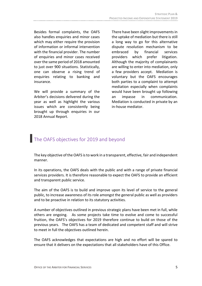Besides formal complaints, the OAFS also handles enquiries and minor cases which may either require the provision of information or informal intervention with the financial provider. The number of enquiries and minor cases received over the same period of 2018 amounted to just over 900 situations. Statistically, one can observe a rising trend of enquiries relating to banking and insurance.

We will provide a summary of the Arbiter's decisions delivered during the year as well as highlight the various issues which are consistently being brought up through enquiries in our 2018 Annual Report.

There have been slight improvements in the uptake of mediation but there is still a long way to go for this alternative dispute resolution mechanism to be embraced by financial services providers which prefer litigation. Although the majority of complainants are willing to enter into mediation, only a few providers accept. Mediation is voluntary but the OAFS encourages both parties to a complaint to attempt mediation especially when complaints would have been brought up following an impasse in communication. Mediation is conducted in private by an in-house mediator.

## <span id="page-6-0"></span>The OAFS objectives for 2019 and beyond

The key objective of the OAFS is to work in a transparent, effective, fair and independent manner.

In its operations, the OAFS deals with the public and with a range of private financial services providers. It is therefore reasonable to expect the OAFS to provide an efficient and transparent public service.

The aim of the OAFS is to build and improve upon its level of service to the general public, to increase awareness of its role amongst the general public as well as providers and to be proactive in relation to its statutory activities.

A number of objectives outlined in previous strategic plans have been met in full, while others are ongoing. As some projects take time to evolve and come to successful fruition, the OAFS's objectives for 2019 therefore continue to build on those of the previous years. The OAFS has a team of dedicated and competent staff and will strive to meet in full the objectives outlined herein.

The OAFS acknowledges that expectations are high and no effort will be spared to ensure that it delivers on the expectations that all stakeholders have of this Office.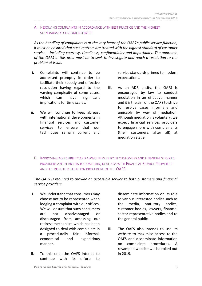#### A. RESOLVING COMPLAINTS IN ACCORDANCE WITH BEST PRACTICE AND THE HIGHEST STANDARDS OF CUSTOMER SERVICE

*As the handling of complaints is at the very heart of the OAFS's public service function, it must be ensured that such matters are treated with the highest standard of customer service – including courtesy, timeliness, confidentiality and impartiality. The approach of the OAFS in this area must be to seek to investigate and reach a resolution to the problem at issue.*

- i. Complaints will continue to be addressed promptly in order to facilitate their speedy and effective resolution having regard to the varying complexity of some cases, which can have significant implications for time scales.
- ii. We will continue to keep abreast with international developments in financial services and customer services to ensure that our techniques remain current and

service standards primed to modern expectations.

- iii. As an ADR entity, the OAFS is encouraged by law to conduct mediation in an effective manner and it is the aim of the OAFS to strive to resolve cases informally and amicably by way of mediation. Although mediation is voluntary, we expect financial services providers to engage more with complainants (their customers, after all) at mediation stage.
- B. IMPROVING ACCESSIBILITY AND AWARENESS BY BOTH CUSTOMERS AND FINANCIAL SERVICES PROVIDERS ABOUT RIGHTS TO COMPLAIN, DEALINGS WITH FINANCIAL SERVICE PROVIDERS AND THE DISPUTE RESOLUTION PROCEDURE OF THE OAFS.

*The OAFS is required to provide an accessible service to both customers and financial service providers.* 

- i. We understand that consumers may choose not to be represented when lodging a complaint with our offices. We will ensure that such consumers are not disadvantaged or discouraged from accessing our redress mechanism which has been designed to deal with complaints in a procedurally fair, informal, economical and expeditious manner.
- ii. To this end, the OAFS intends to continue with its efforts to

disseminate information on its role to various interested bodies such as the media, statutory bodies, customer bodies, lawyers, financial sector representative bodies and to the general public.

iii. The OAFS also intends to use its website to maximise access to the OAFS and disseminate information on complaints procedures. A revamped website will be rolled out in 2019.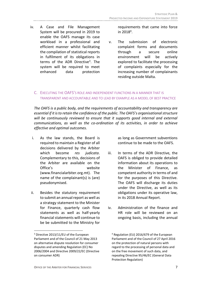iv. A Case and File Management System will be procured in 2019 to enable the OAFS manage its case workload in a professional and efficient manner whilst facilitating the compilation of statistical reports in fulfilment of its obligations in terms of the ADR Directive<sup>3</sup>. The system will be required to meet enhanced data protection requirements that came into force in  $2018<sup>4</sup>$ .

v. The submission of electronic complaint forms and documents through a secure online environment will be actively explored to facilitate the processing of complaints especially for the increasing number of complainants residing outside Malta.

#### C. EXECUTING THE OAFS'S ROLE AND INDEPENDENT FUNCTIONS IN A MANNER THAT IS TRANSPARENT AND ACCOUNTABLE AND TO LEAD BY EXAMPLE AS A MODEL OF BEST PRACTICE

*The OAFS is a public body, and the requirements of accountability and transparency are essential if it is to retain the confidence of the public. The OAFS's organisational structure*  will be continuously reviewed to ensure that it supports good internal and external *communications, as well as the co-ordination of its activities, in order to achieve effective and optimal outcomes.* 

- i. As the law stands, the Board is required to maintain a Register of all decisions delivered by the Arbiter which become *res judicata*. Complementary to this, decisions of the Arbiter are available on the Office's website (www.financialarbiter.org.mt). The name of the complainant(s) is (are) pseudonymised.
- ii. Besides the statutory requirement to submit an annual report as well as a strategy statement to the Minister for Finance, quarterly cash flow statements as well as half-yearly financial statements will continue to be be submitted to the Ministry for

l

as long as Government subventions continue to be made to the OAFS.

- iii. In terms of the ADR Directive, the OAFS is obliged to provide detailed information about its operations to the Minister of Finance, as competent authority in terms of and for the purposes of this Directive. The OAFS will discharge its duties under the Directive, as well as its obligations under its operative law, in its 2018 Annual Report.
- iv. Administration of the finance and HR role will be reviewed on an ongoing basis, including the annual

<sup>&</sup>lt;sup>3</sup> Directive 2013/11/EU of the European Parliament and of the Council of 21 May 2013 on alternative dispute resolution for consumer disputes and amending Regulation (EC) No 2006/2004 and Directive 2009/22/EC (Directive on consumer ADR)

<sup>4</sup> Regulation (EU) 2016/679 of the European Parliament and of the Council of 27 April 2016 on the protection of natural persons with regard to the processing of personal data and on the free movement of such data, and repealing Directive 95/46/EC (General Data Protection Regulation)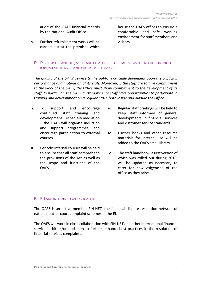audit of the OAFS financial records by the National Audit Office.

v. Further refurbishment works will be carried out at the premises which house the OAFS offices to ensure a comfortable and safe working environment for staff members and visitors.

D. DEVELOP THE ABILITIES, SKILLS AND COMPETENCE OF STAFF SO AS TO ENSURE CONTINUED IMPROVEMENT IN ORGANISATIONAL PERFORMANCE

*The quality of the OAFS' service to the public is crucially dependent upon the capacity, performance and motivation of its staff. Moreover, if the staff are to give commitment to the work of the OAFS, the Office must show commitment to the development of its staff. In particular, the OAFS must make sure staff have opportunities to participate in training and development on a regular basis, both inside and outside the Office.* 

- i. To support and encourage continued staff training and development – especially mediation – the OAFS will organise induction and support programmes, and encourage participation to external courses.
- ii. Periodic internal courses will be held to ensure that all staff comprehend the provisions of the Act as well as the scope and functions of the OAFS.
- iii. Regular staff briefings will be held to keep staff informed of general developments in financial services and customer service standards.
- iv. Further books and other resource materials for internal use will be added to the OAFS small library.
- v. The staff handbook, a first version of which was rolled out during 2018, will be updated as necessary to cater for new exigencies of the office as they arise.

#### E. EU AND INTERNATIONAL OBLIGATIONS

The OAFS is an active member FIN-NET, the financial dispute resolution network of national out-of-court complaint schemes in the EU.

The OAFS will work in close collaboration with FIN-NET and other international financial services arbiters/ombudsmen to further enhance best practices in the resolution of financial services complaints.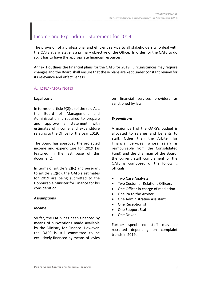### <span id="page-10-0"></span>Income and Expenditure Statement for 2019

The provision of a professional and efficient service to all stakeholders who deal with the OAFS at any stage is a primary objective of the Office. In order for the OAFS to do so, it has to have the appropriate financial resources.

Annex 1 outlines the financial plans for the OAFS for 2019. Circumstances may require changes and the Board shall ensure that these plans are kept under constant review for its relevance and effectiveness.

#### A. EXPLANATORY NOTES

#### **Legal basis**

In terms of article 9(2)(a) of the said Act, the Board of Management and Administration is required to prepare and approve a statement with estimates of income and expenditure relating to the Office for the year 2019.

The Board has approved the projected income and expenditure for 2019 (as featured in the last page of this document).

In terms of article 9(2)(c) and pursuant to article 9(2)(d), the OAFS's estimates for 2019 are being submitted to the Honourable Minister for Finance for his consideration.

#### **Assumptions**

#### *Income*

So far, the OAFS has been financed by means of subventions made available by the Ministry for Finance. However, the OAFS is still committed to be exclusively financed by means of levies on financial services providers as sanctioned by law.

#### *Expenditure*

A major part of the OAFS's budget is allocated to salaries and benefits to staff. Other than the Arbiter for Financial Services (whose salary is reimbursable from the Consolidated Fund) and the chairman of the Board, the current staff complement of the OAFS is composed of the following officials:

- Two Case Analysts
- Two Customer Relations Officers
- One Officer in charge of mediation
- One PA to the Arbiter
- One Administrative Assistant
- One Receptionist
- One Support Staff
- **•** One Driver

Further specialised staff may be recruited depending on complaint trends in 2019.